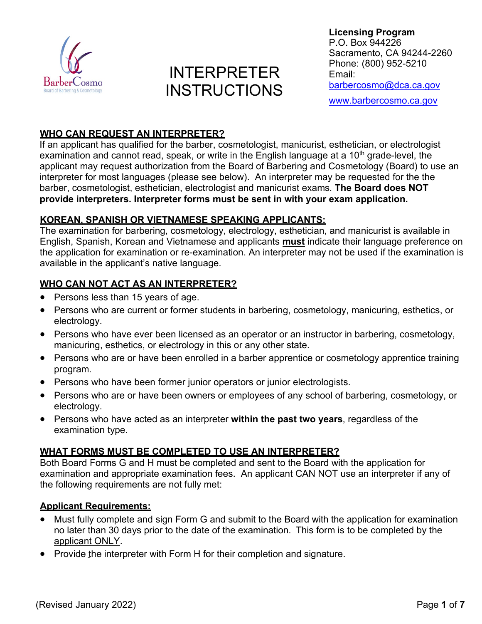

## **INSTRUCTIONS**

**Licensing Program** P.O. Box 944226 Sacramento, CA 94244-2260 Phone: (800) 952-5210<br>
INTERPRETER<br>
INCTOLONIC barbercosmo@dca.ca.gov

[www.barbercosmo.ca.gov](http://www.barbercosmo.ca.gov/) 

#### **WHO CAN REQUEST AN INTERPRETER?**

 If an applicant has qualified for the barber, cosmetologist, manicurist, esthetician, or electrologist examination and cannot read, speak, or write in the English language at a 10<sup>th</sup> grade-level, the applicant may request authorization from the Board of Barbering and Cosmetology (Board) to use an interpreter for most languages (please see below). An interpreter may be requested for the the  **provide interpreters. Interpreter forms must be sent in with your exam application.**  barber, cosmetologist, esthetician, electrologist and manicurist exams. **The Board does NOT** 

#### **KOREAN, SPANISH OR VIETNAMESE SPEAKING APPLICANTS:**

 The examination for barbering, cosmetology, electrology, esthetician, and manicurist is available in English, Spanish, Korean and Vietnamese and applicants **must** indicate their language preference on the application for examination or re-examination. An interpreter may not be used if the examination is available in the applicant's native language.

#### **WHO CAN NOT ACT AS AN INTERPRETER?**

- Persons less than 15 years of age.
- • Persons who are current or former students in barbering, cosmetology, manicuring, esthetics, or electrology.
- • Persons who have ever been licensed as an operator or an instructor in barbering, cosmetology, manicuring, esthetics, or electrology in this or any other state.
- • Persons who are or have been enrolled in a barber apprentice or cosmetology apprentice training program.
- Persons who have been former junior operators or junior electrologists.
- • Persons who are or have been owners or employees of any school of barbering, cosmetology, or electrology.
- • Persons who have acted as an interpreter **within the past two years**, regardless of the examination type.

#### **WHAT FORMS MUST BE COMPLETED TO USE AN INTERPRETER?**

 Both Board Forms G and H must be completed and sent to the Board with the application for examination and appropriate examination fees. An applicant CAN NOT use an interpreter if any of the following requirements are not fully met:

#### **Applicant Requirements:**

- • Must fully complete and sign Form G and submit to the Board with the application for examination no later than 30 days prior to the date of the examination. This form is to be completed by the applicant ONLY.
- Provide the interpreter with Form H for their completion and signature.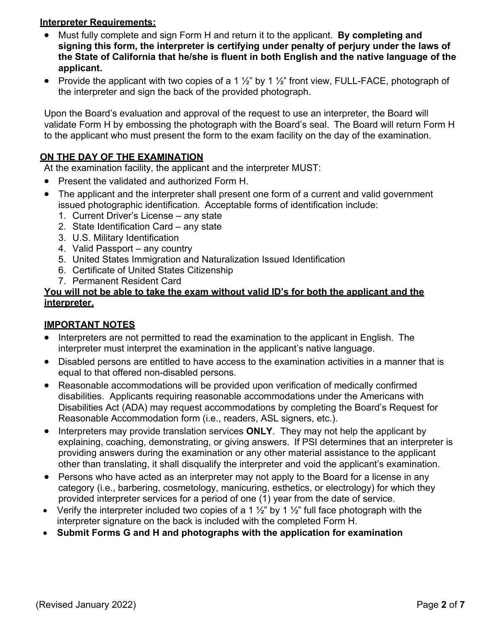#### **Interpreter Requirements:**

- • Must fully complete and sign Form H and return it to the applicant. **By completing and signing this form, the interpreter is certifying under penalty of perjury under the laws of the State of California that he/she is fluent in both English and the native language of the applicant.**
- Provide the applicant with two copies of a 1  $\frac{1}{2}$ " by 1  $\frac{1}{2}$ " front view, FULL-FACE, photograph of the interpreter and sign the back of the provided photograph.

 Upon the Board's evaluation and approval of the request to use an interpreter, the Board will validate Form H by embossing the photograph with the Board's seal. The Board will return Form H to the applicant who must present the form to the exam facility on the day of the examination.

#### **ON THE DAY OF THE EXAMINATION**

At the examination facility, the applicant and the interpreter MUST:

- Present the validated and authorized Form H.
- • The applicant and the interpreter shall present one form of a current and valid government issued photographic identification. Acceptable forms of identification include:
	- 1. Current Driver's License any state
	- 2. State Identification Card any state
	- 3. U.S. Military Identification
	- 4. Valid Passport any country
	- 5. United States Immigration and Naturalization Issued Identification
	- 6. Certificate of United States Citizenship
	- 7. Permanent Resident Card

#### interpreter. **You will not be able to take the exam without valid ID's for both the applicant and the**

#### **IMPORTANT NOTES**

- • Interpreters are not permitted to read the examination to the applicant in English. The interpreter must interpret the examination in the applicant's native language.
- • Disabled persons are entitled to have access to the examination activities in a manner that is equal to that offered non-disabled persons.
- • Reasonable accommodations will be provided upon verification of medically confirmed Disabilities Act (ADA) may request accommodations by completing the Board's Request for disabilities. Applicants requiring reasonable accommodations under the Americans with Reasonable Accommodation form (i.e., readers, ASL signers, etc.).
- • Interpreters may provide translation services **ONLY**. They may not help the applicant by explaining, coaching, demonstrating, or giving answers. If PSI determines that an interpreter is providing answers during the examination or any other material assistance to the applicant other than translating, it shall disqualify the interpreter and void the applicant's examination.
- • Persons who have acted as an interpreter may not apply to the Board for a license in any category (i.e., barbering, cosmetology, manicuring, esthetics, or electrology) for which they provided interpreter services for a period of one (1) year from the date of service.
- interpreter signature on the back is included with the completed Form H. • Verify the interpreter included two copies of a 1  $\frac{1}{2}$ " by 1  $\frac{1}{2}$ " full face photograph with the
- **Submit Forms G and H and photographs with the application for examination**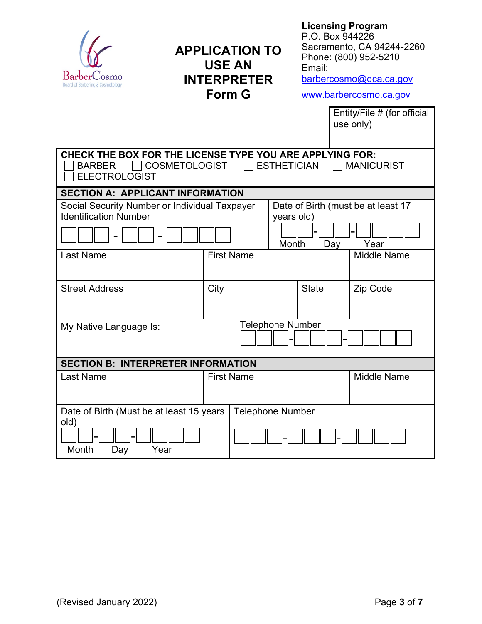

# **INTERPRETER**<br>Form G

|                       | <b>Licensing Program</b>        |
|-----------------------|---------------------------------|
|                       | P.O. Box 944226                 |
| <b>APPLICATION TO</b> | Sacramento, CA 94244-2260       |
| <b>USE AN</b>         | Phone: (800) 952-5210<br>Email: |
| <b>INTERPRETER</b>    | barbercosmo@dca.ca.gov          |

www.barbercosmo.ca.gov

Entity/File # (for official

|                                                                                                                               |                   |                                                  |                    |              | use only)          |
|-------------------------------------------------------------------------------------------------------------------------------|-------------------|--------------------------------------------------|--------------------|--------------|--------------------|
| CHECK THE BOX FOR THE LICENSE TYPE YOU ARE APPLYING FOR:<br>$\Box$ COSMETOLOGIST    <br><b>BARBER</b><br><b>ELECTROLOGIST</b> |                   |                                                  | <b>ESTHETICIAN</b> |              | <b>MANICURIST</b>  |
| <b>SECTION A: APPLICANT INFORMATION</b>                                                                                       |                   |                                                  |                    |              |                    |
| Social Security Number or Individual Taxpayer<br><b>Identification Number</b>                                                 |                   | Date of Birth (must be at least 17<br>years old) |                    |              |                    |
|                                                                                                                               |                   |                                                  | Month              | Day          | Year               |
| <b>Last Name</b>                                                                                                              | <b>First Name</b> |                                                  |                    |              | <b>Middle Name</b> |
| <b>Street Address</b>                                                                                                         | City              |                                                  |                    | <b>State</b> | Zip Code           |
| My Native Language Is:                                                                                                        |                   | <b>Telephone Number</b>                          |                    |              |                    |
| <b>SECTION B: INTERPRETER INFORMATION</b>                                                                                     |                   |                                                  |                    |              |                    |
| <b>Last Name</b>                                                                                                              | <b>First Name</b> |                                                  |                    |              | <b>Middle Name</b> |
| Date of Birth (Must be at least 15 years<br>old)                                                                              |                   | <b>Telephone Number</b>                          |                    |              |                    |
| Month<br>Year<br>Day                                                                                                          |                   |                                                  |                    |              |                    |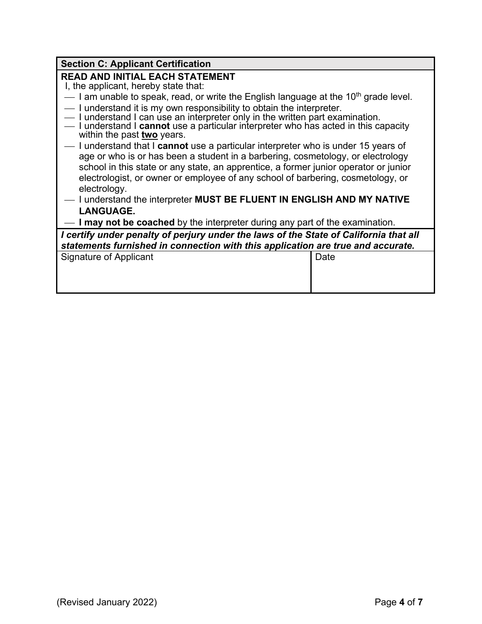#### **Section C: Applicant Certification**

**READ AND INITIAL EACH STATEMENT** 

- I, the applicant, hereby state that:
- $-$  I am unable to speak, read, or write the English language at the 10<sup>th</sup> grade level.
- 
- 
- I understand it is my own responsibility to obtain the interpreter.<br>— I understand I can use an interpreter only in the written part examination.<br>— I understand I **cannot** use a particular interpreter who has acted in th
- I understand that I **cannot** use a particular interpreter who is under 15 years of age or who is or has been a student in a barbering, cosmetology, or electrology school in this state or any state, an apprentice, a former junior operator or junior electrologist, or owner or employee of any school of barbering, cosmetology, or electrology.
- $-$  I understand the interpreter MUST BE FLUENT IN ENGLISH AND MY NATIVE **LANGUAGE.**
- **I may not be coached** by the interpreter during any part of the examination.

*I certify under penalty of perjury under the laws of the State of California that all statements furnished in connection with this application are true and accurate.* 

| Signature of Applicant | Date |
|------------------------|------|
|                        |      |
|                        |      |
|                        |      |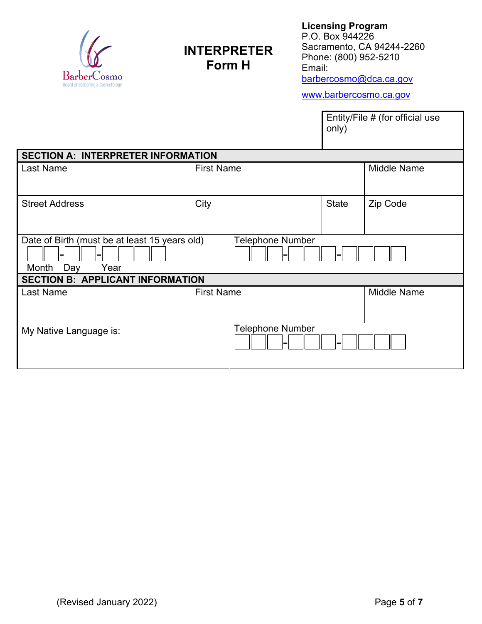

### **Form H Email:**

**Licensing Program** P.O. Box 944226 Sacramento, CA 94244-2260 **INTERPRETER** Phone: (800) 952-5210 [barbercosmo@dca.ca.gov](mailto:barbercosmo@dca.ca.gov) 

[www.barbercosmo.ca.gov](http://www.barbercosmo.ca.gov/) 

only)

Entity/File # (for official use

| <b>SECTION A: INTERPRETER INFORMATION</b>                             |                   |                         |              |                    |
|-----------------------------------------------------------------------|-------------------|-------------------------|--------------|--------------------|
| <b>Last Name</b>                                                      | <b>First Name</b> |                         |              | <b>Middle Name</b> |
| <b>Street Address</b>                                                 | City              |                         | <b>State</b> | Zip Code           |
| Date of Birth (must be at least 15 years old)<br>Month<br>Day<br>Year |                   | <b>Telephone Number</b> | -            |                    |
| <b>SECTION B: APPLICANT INFORMATION</b>                               |                   |                         |              |                    |
| <b>Last Name</b>                                                      | <b>First Name</b> |                         |              | <b>Middle Name</b> |
| My Native Language is:                                                |                   | <b>Telephone Number</b> |              |                    |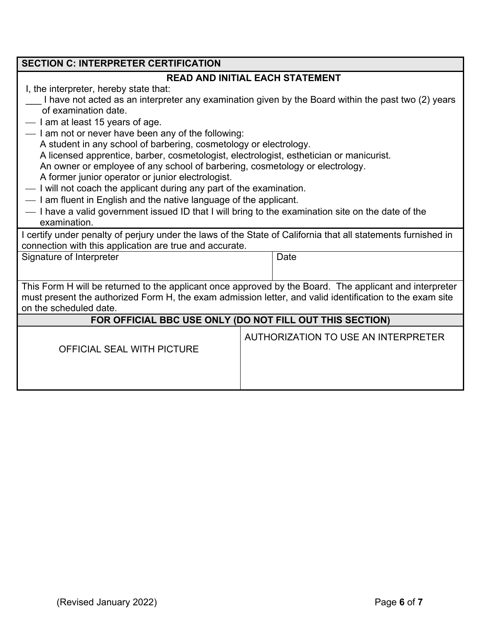| <b>SECTION C: INTERPRETER CERTIFICATION</b>                                                              |  |                                                                                                               |  |  |
|----------------------------------------------------------------------------------------------------------|--|---------------------------------------------------------------------------------------------------------------|--|--|
| <b>READ AND INITIAL EACH STATEMENT</b>                                                                   |  |                                                                                                               |  |  |
| I, the interpreter, hereby state that:                                                                   |  |                                                                                                               |  |  |
| I have not acted as an interpreter any examination given by the Board within the past two (2) years      |  |                                                                                                               |  |  |
| of examination date.                                                                                     |  |                                                                                                               |  |  |
| - I am at least 15 years of age.                                                                         |  |                                                                                                               |  |  |
| - I am not or never have been any of the following:                                                      |  |                                                                                                               |  |  |
| A student in any school of barbering, cosmetology or electrology.                                        |  |                                                                                                               |  |  |
| A licensed apprentice, barber, cosmetologist, electrologist, esthetician or manicurist.                  |  |                                                                                                               |  |  |
| An owner or employee of any school of barbering, cosmetology or electrology.                             |  |                                                                                                               |  |  |
| A former junior operator or junior electrologist.                                                        |  |                                                                                                               |  |  |
| - I will not coach the applicant during any part of the examination.                                     |  |                                                                                                               |  |  |
| - I am fluent in English and the native language of the applicant.                                       |  |                                                                                                               |  |  |
| - I have a valid government issued ID that I will bring to the examination site on the date of the       |  |                                                                                                               |  |  |
| examination.                                                                                             |  |                                                                                                               |  |  |
|                                                                                                          |  |                                                                                                               |  |  |
|                                                                                                          |  | I certify under penalty of perjury under the laws of the State of California that all statements furnished in |  |  |
| connection with this application are true and accurate.                                                  |  |                                                                                                               |  |  |
| Signature of Interpreter                                                                                 |  | Date                                                                                                          |  |  |
|                                                                                                          |  |                                                                                                               |  |  |
| This Form H will be returned to the applicant once approved by the Board. The applicant and interpreter  |  |                                                                                                               |  |  |
| must present the authorized Form H, the exam admission letter, and valid identification to the exam site |  |                                                                                                               |  |  |
| on the scheduled date.                                                                                   |  |                                                                                                               |  |  |
| FOR OFFICIAL BBC USE ONLY (DO NOT FILL OUT THIS SECTION)                                                 |  |                                                                                                               |  |  |
|                                                                                                          |  |                                                                                                               |  |  |
|                                                                                                          |  | <b>AUTHORIZATION TO USE AN INTERPRETER</b>                                                                    |  |  |
| <b>OFFICIAL SEAL WITH PICTURE</b>                                                                        |  |                                                                                                               |  |  |
|                                                                                                          |  |                                                                                                               |  |  |
|                                                                                                          |  |                                                                                                               |  |  |